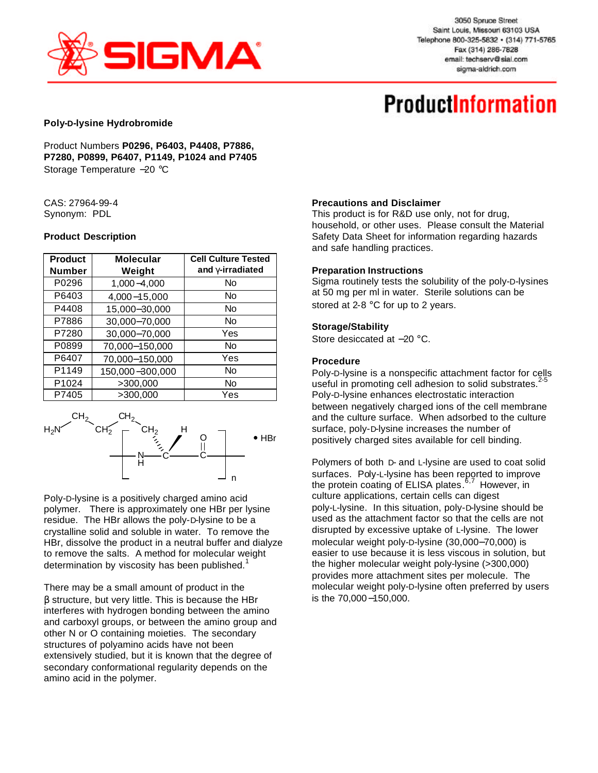

3050 Spruce Street Saint Louis, Missouri 63103 USA Telephone 800-325-5832 · (314) 771-5765 Fax (314) 286-7828 email: techserv@sial.com sigma-aldrich.com

# **ProductInformation**

#### **Poly-D-lysine Hydrobromide**

Product Numbers **P0296, P6403, P4408, P7886, P7280, P0899, P6407, P1149, P1024 and P7405** Storage Temperature −20 °C

#### CAS: 27964-99-4 Synonym: PDL

#### **Product Description**

| <b>Product</b> | <b>Molecular</b> | <b>Cell Culture Tested</b> |  |
|----------------|------------------|----------------------------|--|
| <b>Number</b>  | Weight           | and girradiated            |  |
| P0296          | 1,000-4,000      | No                         |  |
| P6403          | 4,000-15,000     | No                         |  |
| P4408          | 15,000-30,000    | No                         |  |
| P7886          | 30,000-70,000    | No                         |  |
| P7280          | 30,000-70,000    | Yes                        |  |
| P0899          | 70,000-150,000   | No                         |  |
| P6407          | 70,000-150,000   | Yes                        |  |
| P1149          | 150,000-300,000  | No                         |  |
| P1024          | >300,000         | No                         |  |
| P7405          | >300.000         | Yes                        |  |



Poly-D-lysine is a positively charged amino acid polymer. There is approximately one HBr per lysine residue. The HBr allows the poly-D-lysine to be a crystalline solid and soluble in water. To remove the HBr, dissolve the product in a neutral buffer and dialyze to remove the salts. A method for molecular weight determination by viscosity has been published.<sup>1</sup>

There may be a small amount of product in the β structure, but very little. This is because the HBr interferes with hydrogen bonding between the amino and carboxyl groups, or between the amino group and other N or O containing moieties. The secondary structures of polyamino acids have not been extensively studied, but it is known that the degree of secondary conformational regularity depends on the amino acid in the polymer.

#### **Precautions and Disclaimer**

This product is for R&D use only, not for drug, household, or other uses. Please consult the Material Safety Data Sheet for information regarding hazards and safe handling practices.

#### **Preparation Instructions**

Sigma routinely tests the solubility of the poly-D-lysines at 50 mg per ml in water. Sterile solutions can be stored at 2-8 °C for up to 2 years.

#### **Storage/Stability**

Store desiccated at −20 °C.

# **Procedure**

Poly-D-lysine is a nonspecific attachment factor for cells useful in promoting cell adhesion to solid substrates.<sup>2</sup> Poly-D-lysine enhances electrostatic interaction between negatively charged ions of the cell membrane and the culture surface. When adsorbed to the culture surface, poly-D-lysine increases the number of positively charged sites available for cell binding.

Polymers of both D- and L-lysine are used to coat solid surfaces. Poly-L-lysine has been reported to improve the protein coating of ELISA plates.<sup>6,7</sup> However, in culture applications, certain cells can digest poly-L-lysine. In this situation, poly-D-lysine should be used as the attachment factor so that the cells are not disrupted by excessive uptake of L-lysine. The lower molecular weight poly-D-lysine (30,000−70,000) is easier to use because it is less viscous in solution, but the higher molecular weight poly-lysine (>300,000) provides more attachment sites per molecule. The molecular weight poly-D-lysine often preferred by users is the 70,000−150,000.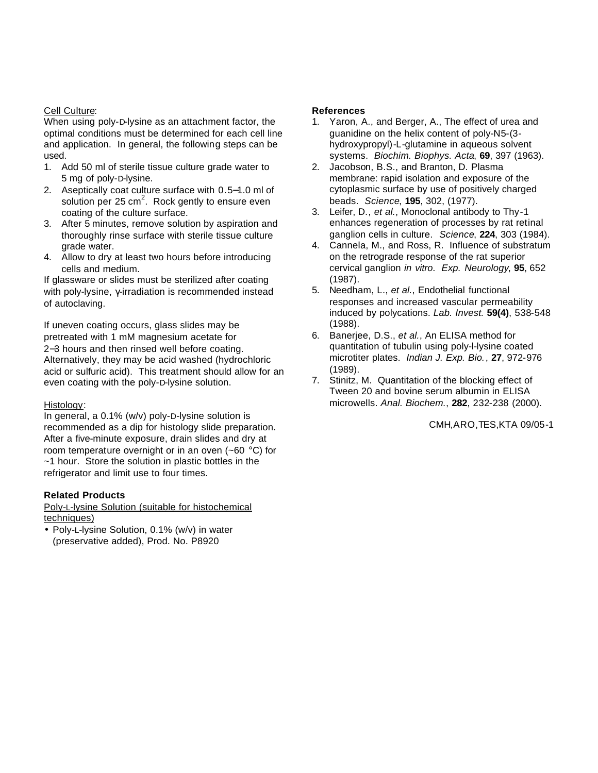# Cell Culture:

When using poly-D-lysine as an attachment factor, the optimal conditions must be determined for each cell line and application. In general, the following steps can be used.

- 1. Add 50 ml of sterile tissue culture grade water to 5 mg of poly-D-lysine.
- 2. Aseptically coat culture surface with 0.5−1.0 ml of solution per 25  $\text{cm}^2$ . Rock gently to ensure even coating of the culture surface.
- 3. After 5 minutes, remove solution by aspiration and thoroughly rinse surface with sterile tissue culture grade water.
- 4. Allow to dry at least two hours before introducing cells and medium.

If glassware or slides must be sterilized after coating with poly-lysine, γ-irradiation is recommended instead of autoclaving.

If uneven coating occurs, glass slides may be pretreated with 1 mM magnesium acetate for 2−3 hours and then rinsed well before coating. Alternatively, they may be acid washed (hydrochloric acid or sulfuric acid). This treatment should allow for an even coating with the poly-D-lysine solution.

## Histology:

In general, a 0.1% (w/v) poly-D-lysine solution is recommended as a dip for histology slide preparation. After a five-minute exposure, drain slides and dry at room temperature overnight or in an oven (~60 °C) for ~1 hour. Store the solution in plastic bottles in the refrigerator and limit use to four times.

## **Related Products**

Poly-L-lysine Solution (suitable for histochemical techniques)

• Poly-L-lysine Solution, 0.1% (w/v) in water (preservative added), Prod. No. P8920

# **References**

- 1. Yaron, A., and Berger, A., The effect of urea and guanidine on the helix content of poly-N5-(3 hydroxypropyl)-L-glutamine in aqueous solvent systems. *Biochim. Biophys. Acta*, **69**, 397 (1963).
- 2. Jacobson, B.S., and Branton, D. Plasma membrane: rapid isolation and exposure of the cytoplasmic surface by use of positively charged beads. *Science*, **195**, 302, (1977).
- 3. Leifer, D., *et al.*, Monoclonal antibody to Thy-1 enhances regeneration of processes by rat retinal ganglion cells in culture. *Science*, **224**, 303 (1984).
- 4. Cannela, M., and Ross, R. Influence of substratum on the retrograde response of the rat superior cervical ganglion *in vitro*. *Exp. Neurology*, **95**, 652 (1987).
- 5. Needham, L., *et al.*, Endothelial functional responses and increased vascular permeability induced by polycations. *Lab. Invest.* **59(4)**, 538-548 (1988).
- 6. Banerjee, D.S., *et al.*, An ELISA method for quantitation of tubulin using poly-l-lysine coated microtiter plates. *Indian J. Exp. Bio.*, **27**, 972-976 (1989).
- 7. Stinitz, M. Quantitation of the blocking effect of Tween 20 and bovine serum albumin in ELISA microwells. *Anal. Biochem.*, **282**, 232-238 (2000).

CMH,ARO,TES,KTA 09/05-1